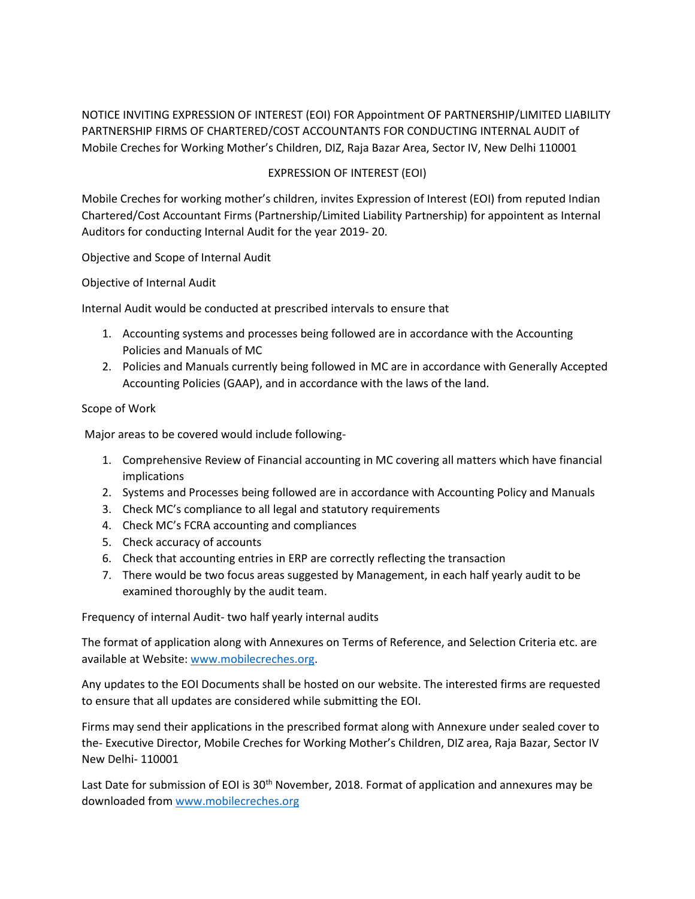NOTICE INVITING EXPRESSION OF INTEREST (EOI) FOR Appointment OF PARTNERSHIP/LIMITED LIABILITY PARTNERSHIP FIRMS OF CHARTERED/COST ACCOUNTANTS FOR CONDUCTING INTERNAL AUDIT of Mobile Creches for Working Mother's Children, DIZ, Raja Bazar Area, Sector IV, New Delhi 110001

## EXPRESSION OF INTEREST (EOI)

Mobile Creches for working mother's children, invites Expression of Interest (EOI) from reputed Indian Chartered/Cost Accountant Firms (Partnership/Limited Liability Partnership) for appointent as Internal Auditors for conducting Internal Audit for the year 2019- 20.

Objective and Scope of Internal Audit

Objective of Internal Audit

Internal Audit would be conducted at prescribed intervals to ensure that

- 1. Accounting systems and processes being followed are in accordance with the Accounting Policies and Manuals of MC
- 2. Policies and Manuals currently being followed in MC are in accordance with Generally Accepted Accounting Policies (GAAP), and in accordance with the laws of the land.

## Scope of Work

Major areas to be covered would include following-

- 1. Comprehensive Review of Financial accounting in MC covering all matters which have financial implications
- 2. Systems and Processes being followed are in accordance with Accounting Policy and Manuals
- 3. Check MC's compliance to all legal and statutory requirements
- 4. Check MC's FCRA accounting and compliances
- 5. Check accuracy of accounts
- 6. Check that accounting entries in ERP are correctly reflecting the transaction
- 7. There would be two focus areas suggested by Management, in each half yearly audit to be examined thoroughly by the audit team.

Frequency of internal Audit- two half yearly internal audits

The format of application along with Annexures on Terms of Reference, and Selection Criteria etc. are available at Website: [www.mobilecreches.org.](http://www.mobilecreches.org/)

Any updates to the EOI Documents shall be hosted on our website. The interested firms are requested to ensure that all updates are considered while submitting the EOI.

Firms may send their applications in the prescribed format along with Annexure under sealed cover to the- Executive Director, Mobile Creches for Working Mother's Children, DIZ area, Raja Bazar, Sector IV New Delhi- 110001

Last Date for submission of EOI is  $30<sup>th</sup>$  November, 2018. Format of application and annexures may be downloaded fro[m www.mobilecreches.org](http://www.mobilecreches.org/)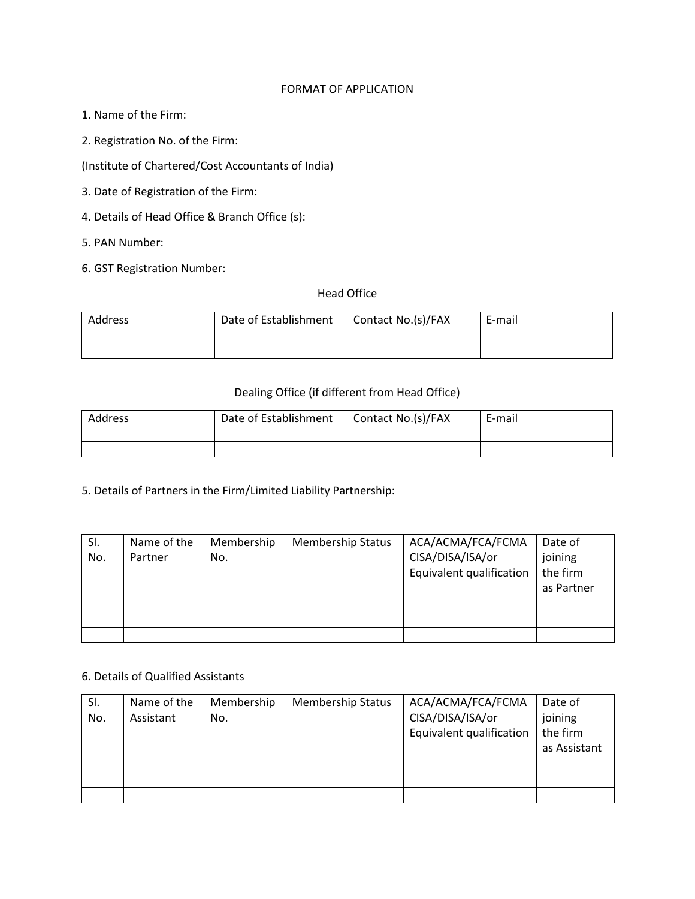### FORMAT OF APPLICATION

- 1. Name of the Firm:
- 2. Registration No. of the Firm:
- (Institute of Chartered/Cost Accountants of India)
- 3. Date of Registration of the Firm:
- 4. Details of Head Office & Branch Office (s):
- 5. PAN Number:
- 6. GST Registration Number:

# Head Office

| Address | Date of Establishment | Contact No.(s)/FAX | E-mail |
|---------|-----------------------|--------------------|--------|
|         |                       |                    |        |

### Dealing Office (if different from Head Office)

| Address | Date of Establishment | Contact No.(s)/FAX | E-mail |
|---------|-----------------------|--------------------|--------|
|         |                       |                    |        |

5. Details of Partners in the Firm/Limited Liability Partnership:

| SI. | Name of the | Membership | <b>Membership Status</b> | ACA/ACMA/FCA/FCMA        | Date of    |
|-----|-------------|------------|--------------------------|--------------------------|------------|
| No. | Partner     | No.        |                          | CISA/DISA/ISA/or         | joining    |
|     |             |            |                          | Equivalent qualification | the firm   |
|     |             |            |                          |                          | as Partner |
|     |             |            |                          |                          |            |
|     |             |            |                          |                          |            |
|     |             |            |                          |                          |            |

### 6. Details of Qualified Assistants

| SI. | Name of the | Membership | <b>Membership Status</b> | ACA/ACMA/FCA/FCMA        | Date of      |
|-----|-------------|------------|--------------------------|--------------------------|--------------|
| No. | Assistant   | No.        |                          | CISA/DISA/ISA/or         | joining      |
|     |             |            |                          | Equivalent qualification | the firm     |
|     |             |            |                          |                          | as Assistant |
|     |             |            |                          |                          |              |
|     |             |            |                          |                          |              |
|     |             |            |                          |                          |              |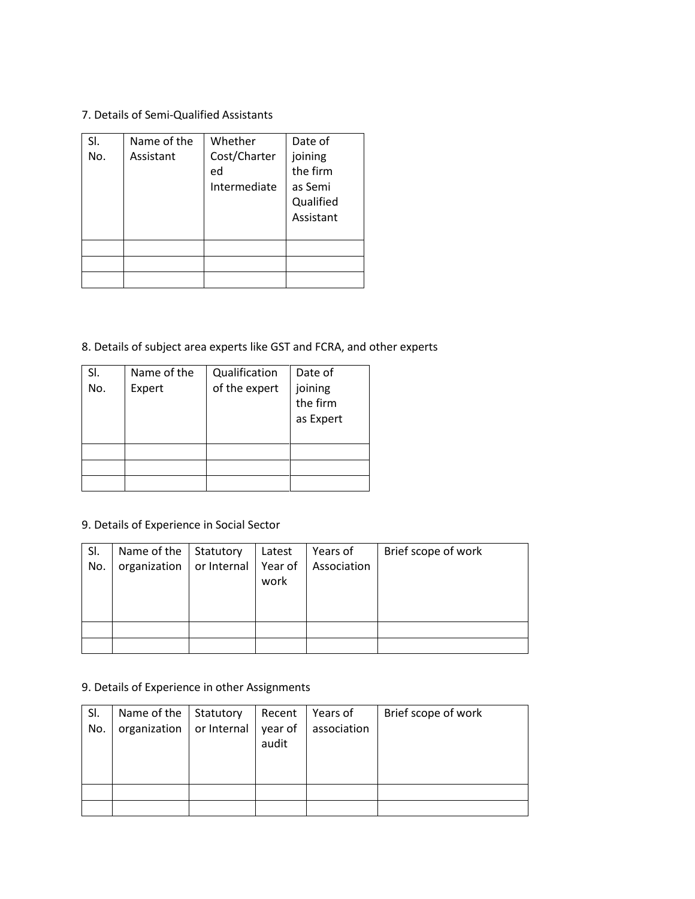7. Details of Semi-Qualified Assistants

| SI. | Name of the | Whether                            | Date of                                                  |
|-----|-------------|------------------------------------|----------------------------------------------------------|
| No. | Assistant   | Cost/Charter<br>ed<br>Intermediate | joining<br>the firm<br>as Semi<br>Qualified<br>Assistant |
|     |             |                                    |                                                          |
|     |             |                                    |                                                          |
|     |             |                                    |                                                          |
|     |             |                                    |                                                          |

8. Details of subject area experts like GST and FCRA, and other experts

| SI.<br>No. | Name of the<br>Expert | Qualification<br>of the expert | Date of<br>joining<br>the firm<br>as Expert |
|------------|-----------------------|--------------------------------|---------------------------------------------|
|            |                       |                                |                                             |
|            |                       |                                |                                             |
|            |                       |                                |                                             |

9. Details of Experience in Social Sector

| SI. | Name of the   Statutory |                       | Latest | Years of    | Brief scope of work |
|-----|-------------------------|-----------------------|--------|-------------|---------------------|
| No. | organization            | or Internal   Year of |        | Association |                     |
|     |                         |                       | work   |             |                     |
|     |                         |                       |        |             |                     |
|     |                         |                       |        |             |                     |
|     |                         |                       |        |             |                     |
|     |                         |                       |        |             |                     |

# 9. Details of Experience in other Assignments

| SI. | Name of the   Statutory              | Recent | Years of    | Brief scope of work |
|-----|--------------------------------------|--------|-------------|---------------------|
| No. | organization   or Internal   year of |        | association |                     |
|     |                                      | audit  |             |                     |
|     |                                      |        |             |                     |
|     |                                      |        |             |                     |
|     |                                      |        |             |                     |
|     |                                      |        |             |                     |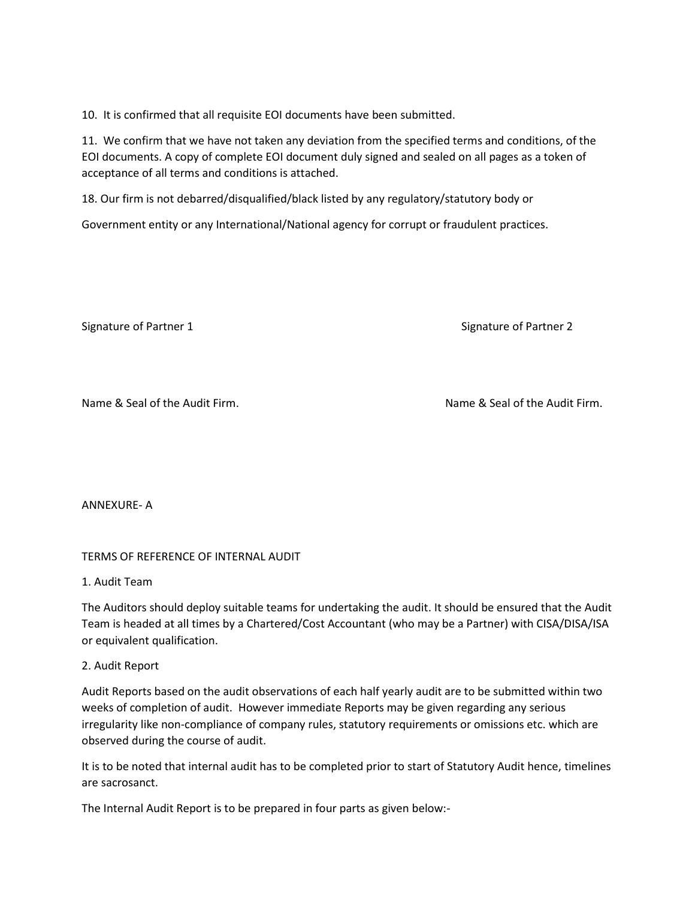10. It is confirmed that all requisite EOI documents have been submitted.

11. We confirm that we have not taken any deviation from the specified terms and conditions, of the EOI documents. A copy of complete EOI document duly signed and sealed on all pages as a token of acceptance of all terms and conditions is attached.

18. Our firm is not debarred/disqualified/black listed by any regulatory/statutory body or

Government entity or any International/National agency for corrupt or fraudulent practices.

Signature of Partner 1 Signature of Partner 2

Name & Seal of the Audit Firm. Name & Seal of the Audit Firm.

ANNEXURE- A

# TERMS OF REFERENCE OF INTERNAL AUDIT

1. Audit Team

The Auditors should deploy suitable teams for undertaking the audit. It should be ensured that the Audit Team is headed at all times by a Chartered/Cost Accountant (who may be a Partner) with CISA/DISA/ISA or equivalent qualification.

## 2. Audit Report

Audit Reports based on the audit observations of each half yearly audit are to be submitted within two weeks of completion of audit. However immediate Reports may be given regarding any serious irregularity like non-compliance of company rules, statutory requirements or omissions etc. which are observed during the course of audit.

It is to be noted that internal audit has to be completed prior to start of Statutory Audit hence, timelines are sacrosanct.

The Internal Audit Report is to be prepared in four parts as given below:-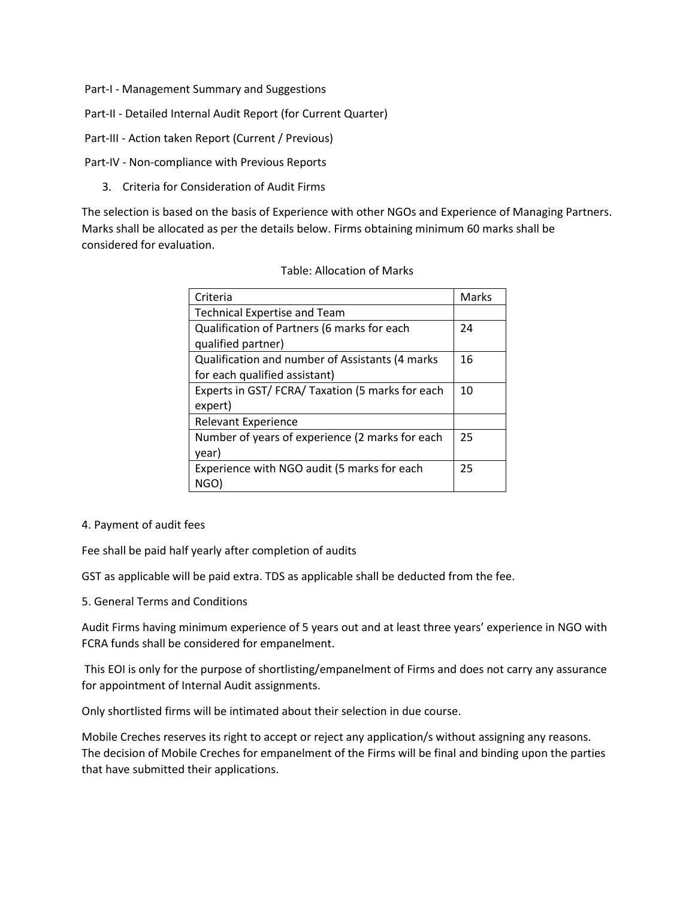- Part-I Management Summary and Suggestions
- Part-II Detailed Internal Audit Report (for Current Quarter)
- Part-III Action taken Report (Current / Previous)
- Part-IV Non-compliance with Previous Reports
	- 3. Criteria for Consideration of Audit Firms

The selection is based on the basis of Experience with other NGOs and Experience of Managing Partners. Marks shall be allocated as per the details below. Firms obtaining minimum 60 marks shall be considered for evaluation.

#### Table: Allocation of Marks

| Criteria                                        | Marks |
|-------------------------------------------------|-------|
| <b>Technical Expertise and Team</b>             |       |
| Qualification of Partners (6 marks for each     | 24    |
| qualified partner)                              |       |
| Qualification and number of Assistants (4 marks | 16    |
| for each qualified assistant)                   |       |
| Experts in GST/FCRA/Taxation (5 marks for each  | 10    |
| expert)                                         |       |
| <b>Relevant Experience</b>                      |       |
| Number of years of experience (2 marks for each | 25    |
| year)                                           |       |
| Experience with NGO audit (5 marks for each     | 25    |
| NGO)                                            |       |

#### 4. Payment of audit fees

Fee shall be paid half yearly after completion of audits

GST as applicable will be paid extra. TDS as applicable shall be deducted from the fee.

5. General Terms and Conditions

Audit Firms having minimum experience of 5 years out and at least three years' experience in NGO with FCRA funds shall be considered for empanelment.

This EOI is only for the purpose of shortlisting/empanelment of Firms and does not carry any assurance for appointment of Internal Audit assignments.

Only shortlisted firms will be intimated about their selection in due course.

Mobile Creches reserves its right to accept or reject any application/s without assigning any reasons. The decision of Mobile Creches for empanelment of the Firms will be final and binding upon the parties that have submitted their applications.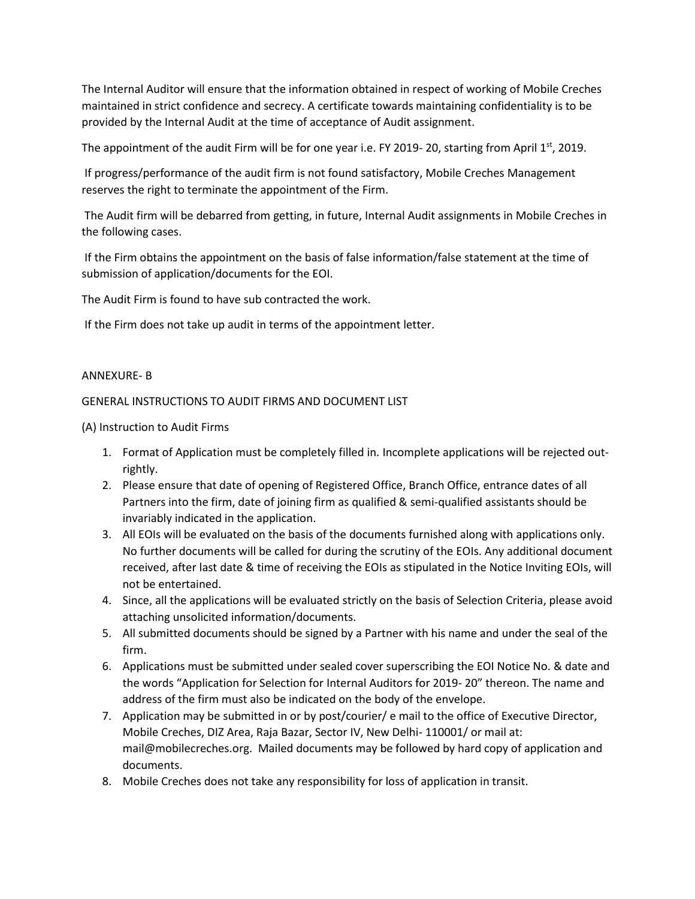The Internal Auditor will ensure that the information obtained in respect of working of Mobile Creches maintained in strict confidence and secrecy. A certificate towards maintaining confidentiality is to be provided by the Internal Audit at the time of acceptance of Audit assignment.

The appointment of the audit Firm will be for one year i.e. FY 2019-20, starting from April  $1<sup>st</sup>$ , 2019.

If progress/performance of the audit firm is not found satisfactory, Mobile Creches Management reserves the right to terminate the appointment of the Firm.

The Audit firm will be debarred from getting, in future, Internal Audit assignments in Mobile Creches in the following cases.

If the Firm obtains the appointment on the basis of false information/false statement at the time of submission of application/documents for the EOI.

The Audit Firm is found to have sub contracted the work.

If the Firm does not take up audit in terms of the appointment letter.

## ANNEXURE- B

## GENERAL INSTRUCTIONS TO AUDIT FIRMS AND DOCUMENT LIST

(A) Instruction to Audit Firms

- 1. Format of Application must be completely filled in. Incomplete applications will be rejected outrightly.
- 2. Please ensure that date of opening of Registered Office, Branch Office, entrance dates of all Partners into the firm, date of joining firm as qualified & semi-qualified assistants should be invariably indicated in the application.
- 3. All EOIs will be evaluated on the basis of the documents furnished along with applications only. No further documents will be called for during the scrutiny of the EOIs. Any additional document received, after last date & time of receiving the EOIs as stipulated in the Notice Inviting EOIs, will not be entertained.
- 4. Since, all the applications will be evaluated strictly on the basis of Selection Criteria, please avoid attaching unsolicited information/documents.
- 5. All submitted documents should be signed by a Partner with his name and under the seal of the firm.
- 6. Applications must be submitted under sealed cover superscribing the EOI Notice No. & date and the words "Application for Selection for Internal Auditors for 2019- 20" thereon. The name and address of the firm must also be indicated on the body of the envelope.
- 7. Application may be submitted in or by post/courier/ e mail to the office of Executive Director, Mobile Creches, DIZ Area, Raja Bazar, Sector IV, New Delhi- 110001/ or mail at: mail@mobilecreches.org. Mailed documents may be followed by hard copy of application and documents.
- 8. Mobile Creches does not take any responsibility for loss of application in transit.